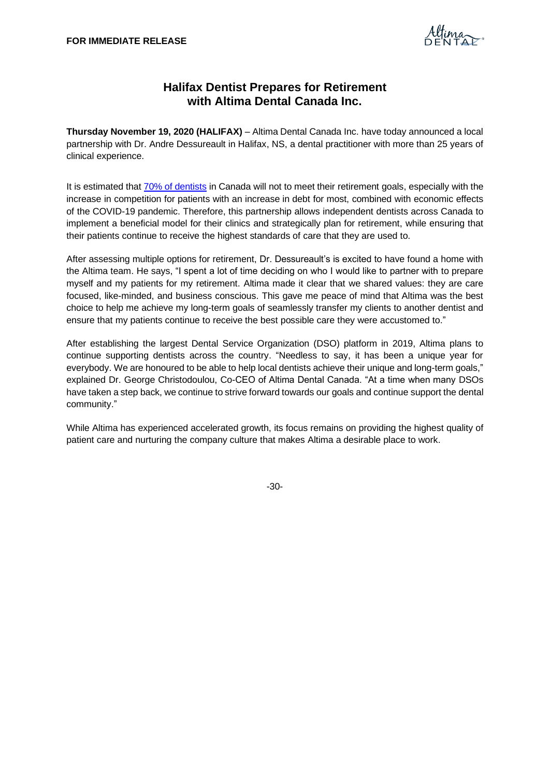

## **Halifax Dentist Prepares for Retirement with Altima Dental Canada Inc.**

**Thursday November 19, 2020 (HALIFAX)** – Altima Dental Canada Inc. have today announced a local partnership with Dr. Andre Dessureault in Halifax, NS, a dental practitioner with more than 25 years of clinical experience.

It is estimated tha[t 70% of dentists](https://www.mcnultygroup.ca/-/media/rj/rjl-advisor-sites/sites/m/c/mcnultygroup/files/pdfs/od_september_2019_your_practice-retirement_v2.pdf) in Canada will not to meet their retirement goals, especially with the increase in competition for patients with an increase in debt for most, combined with economic effects of the COVID-19 pandemic. Therefore, this partnership allows independent dentists across Canada to implement a beneficial model for their clinics and strategically plan for retirement, while ensuring that their patients continue to receive the highest standards of care that they are used to.

After assessing multiple options for retirement, Dr. Dessureault's is excited to have found a home with the Altima team. He says, "I spent a lot of time deciding on who I would like to partner with to prepare myself and my patients for my retirement. Altima made it clear that we shared values: they are care focused, like-minded, and business conscious. This gave me peace of mind that Altima was the best choice to help me achieve my long-term goals of seamlessly transfer my clients to another dentist and ensure that my patients continue to receive the best possible care they were accustomed to."

After establishing the largest Dental Service Organization (DSO) platform in 2019, Altima plans to continue supporting dentists across the country. "Needless to say, it has been a unique year for everybody. We are honoured to be able to help local dentists achieve their unique and long-term goals," explained Dr. George Christodoulou, Co-CEO of Altima Dental Canada. "At a time when many DSOs have taken a step back, we continue to strive forward towards our goals and continue support the dental community."

While Altima has experienced accelerated growth, its focus remains on providing the highest quality of patient care and nurturing the company culture that makes Altima a desirable place to work.

-30-